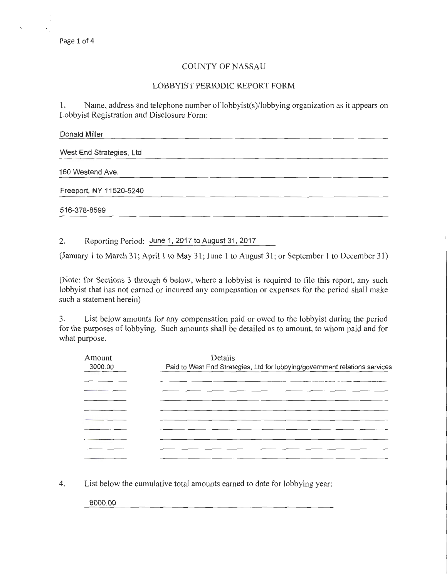## COUNTY OF NASSAU

## LOBBYIST PERIODIC REPORT FORM

1. Name, address and telephone number of lobbyist(s)/lobbying organization as it appears on Lobbyist Registration and Disclosure Form:

| Donald Miller            |  |  |  |
|--------------------------|--|--|--|
| West End Strategies, Ltd |  |  |  |
| 160 Westend Ave.         |  |  |  |
| Freeport, NY 11520-5240  |  |  |  |
| 516-378-8599             |  |  |  |

2. Reporting Period: June 1, 2017 to August 31, 2017

(January 1 to March 31; April 1 to May 31; June 1 to August 31; or September 1 to December 31)

(Note: for Sections 3 through 6 below, where a lobbyist is required to file this report, any such lobbyist that has not earned or incurred any compensation or expenses for the period shall make such a statement herein)

3. List below amounts for any compensation paid or owed to the lobbyist during the period for the purposes of lobbying. Such amounts shall be detailed as to amount, to whom paid and for what purpose.

| Amount<br>3000.00 | Details<br>Paid to West End Strategies, Ltd for lobbying/government relations services |
|-------------------|----------------------------------------------------------------------------------------|
|                   |                                                                                        |
|                   |                                                                                        |
|                   |                                                                                        |
|                   |                                                                                        |
|                   |                                                                                        |

4. List below the cumulative total amounts earned to date for lobbying year:

8000.00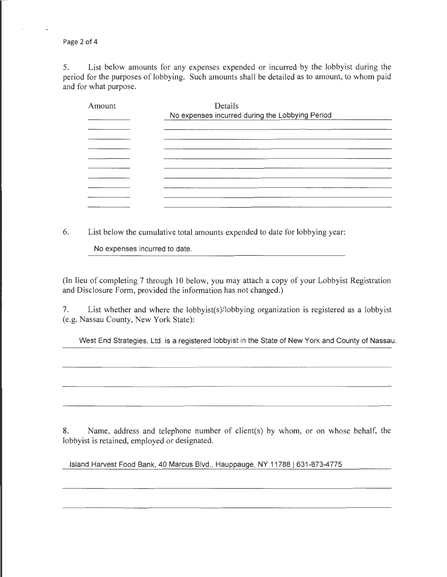Page 2 of 4

5. List below amounts for any expenses expended or incurred by the lobbyist during the period for the purposes of lobbying. Such amounts shall be detailed as to amount, to whom paid and for what purpose.

| Amount | Details<br>No expenses incurred during the Lobbying Period |
|--------|------------------------------------------------------------|
|        |                                                            |
|        |                                                            |
|        |                                                            |
|        |                                                            |
|        |                                                            |
|        |                                                            |

6. List below the cumulative total amounts expended to date for lobbying year:

No expenses incurred to date.

(In lieu of completing 7 through 10 below, you may attach a copy of your Lobbyist Registration and Disclosure Form, provided the information has not changed.)

7. List whether and where the lobbyist(s)/lobbying organization is registered as a lobbyist (e.g. Nassau County, New York State):

West End Strategies, Ltd. is a registered lobbyist in the State of New York and County of Nassau.

8. Name, address and telephone number of client(s) by whom, or on whose behalf, the lobbyist is retained, employed or designated.

Island Harvest Food Bank, 40 Marcus Blvd., Hauppauge, NY 11788 | 631-873-4775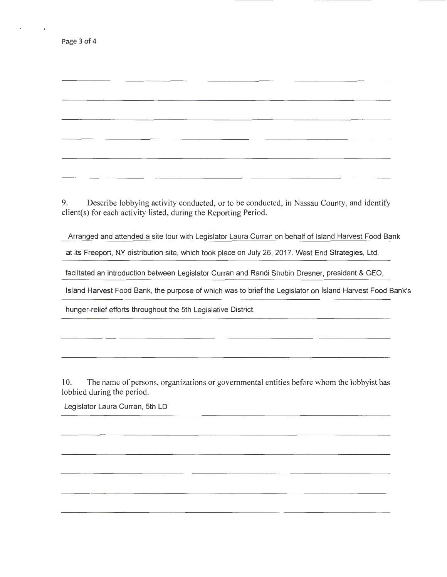$\epsilon$ 

9. Describe lobbying activity conducted, or to be conducted, in Nassau County, and identify client(s) for each activity listed, during the Reporting Period.

Arranged and attended a site tour with Legislator Laura Curran on behalf of Island Harvest Food Bank

at its Freeport, NY distribution site, which took place on July 26, 2017. West End Strategies, Ltd.

faciltated an introduction between Legislator Curran and Randi Shubin Dresner, president & CEO,

Island Harvest Food Bank, the purpose of which was to brief the Legislator on Island Harvest Food Bank's

hunger-relief efforts throughout the 5th Legislative District.

10. The name of persons, organizations or governmental entities before whom the lobbyist has lobbied during the period.

Legislator Laura Curran, 5th LD